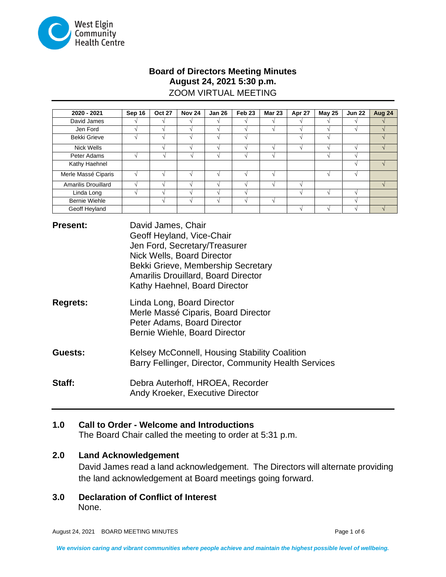

## **Board of Directors Meeting Minutes August 24, 2021 5:30 p.m.** ZOOM VIRTUAL MEETING

| 2020 - 2021          | Sep 16 | <b>Oct 27</b> | <b>Nov 24</b> | <b>Jan 26</b> | Feb <sub>23</sub> | <b>Mar 23</b> | Apr 27 | <b>May 25</b> | <b>Jun 22</b> | Aug 24 |
|----------------------|--------|---------------|---------------|---------------|-------------------|---------------|--------|---------------|---------------|--------|
| David James          |        |               |               |               |                   |               |        |               |               |        |
| Jen Ford             |        |               |               |               |                   |               |        |               |               |        |
| <b>Bekki Grieve</b>  |        |               |               |               |                   |               |        | $\sim$        |               |        |
| Nick Wells           |        |               |               |               |                   |               |        |               | $\Delta$      |        |
| Peter Adams          |        |               |               |               |                   |               |        |               |               |        |
| Kathy Haehnel        |        |               |               |               |                   |               |        |               |               |        |
| Merle Massé Ciparis  |        |               |               |               |                   |               |        |               | $\sqrt{ }$    |        |
| Amarilis Drouillard  |        |               |               |               |                   |               |        |               |               |        |
| Linda Long           |        |               |               |               |                   |               |        |               | $\sim$        |        |
| <b>Bernie Wiehle</b> |        |               |               |               |                   |               |        |               | $\mathcal{N}$ |        |
| Geoff Heyland        |        |               |               |               |                   |               |        |               |               |        |

**Present:** David James, Chair Geoff Heyland, Vice-Chair Jen Ford, Secretary/Treasurer Nick Wells, Board Director Bekki Grieve, Membership Secretary Amarilis Drouillard, Board Director Kathy Haehnel, Board Director

- **Regrets:** Linda Long, Board Director Merle Massé Ciparis, Board Director Peter Adams, Board Director Bernie Wiehle, Board Director
- **Guests:** Kelsey McConnell, Housing Stability Coalition Barry Fellinger, Director, Community Health Services
- **Staff:** Debra Auterhoff, HROEA, Recorder Andy Kroeker, Executive Director

# **1.0 Call to Order - Welcome and Introductions**

The Board Chair called the meeting to order at 5:31 p.m.

## **2.0 Land Acknowledgement**

David James read a land acknowledgement. The Directors will alternate providing the land acknowledgement at Board meetings going forward.

**3.0 Declaration of Conflict of Interest** None.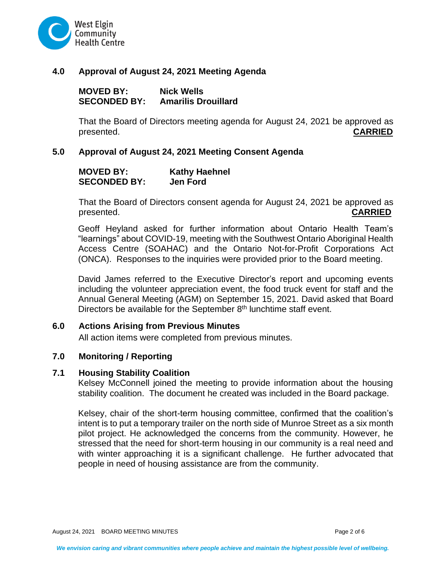

## **4.0 Approval of August 24, 2021 Meeting Agenda**

**MOVED BY: Nick Wells SECONDED BY: Amarilis Drouillard**

That the Board of Directors meeting agenda for August 24, 2021 be approved as presented. **CARRIED**

### **5.0 Approval of August 24, 2021 Meeting Consent Agenda**

### **MOVED BY: Kathy Haehnel SECONDED BY:**

That the Board of Directors consent agenda for August 24, 2021 be approved as presented. **CARRIED**

Geoff Heyland asked for further information about Ontario Health Team's "learnings" about COVID-19, meeting with the Southwest Ontario Aboriginal Health Access Centre (SOAHAC) and the Ontario Not-for-Profit Corporations Act (ONCA). Responses to the inquiries were provided prior to the Board meeting.

David James referred to the Executive Director's report and upcoming events including the volunteer appreciation event, the food truck event for staff and the Annual General Meeting (AGM) on September 15, 2021. David asked that Board Directors be available for the September  $8<sup>th</sup>$  lunchtime staff event.

### **6.0 Actions Arising from Previous Minutes**

All action items were completed from previous minutes.

### **7.0 Monitoring / Reporting**

### **7.1 Housing Stability Coalition**

Kelsey McConnell joined the meeting to provide information about the housing stability coalition. The document he created was included in the Board package.

Kelsey, chair of the short-term housing committee, confirmed that the coalition's intent is to put a temporary trailer on the north side of Munroe Street as a six month pilot project. He acknowledged the concerns from the community. However, he stressed that the need for short-term housing in our community is a real need and with winter approaching it is a significant challenge. He further advocated that people in need of housing assistance are from the community.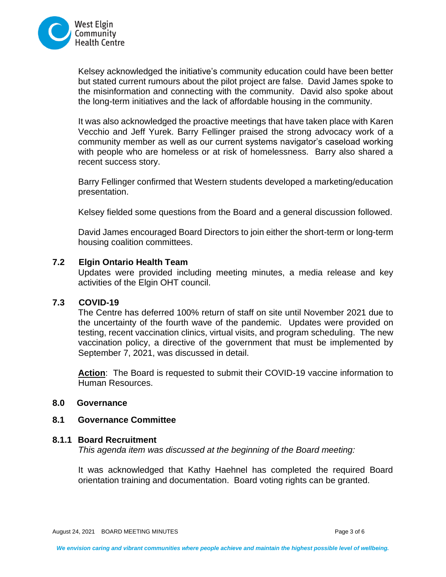

Kelsey acknowledged the initiative's community education could have been better but stated current rumours about the pilot project are false. David James spoke to the misinformation and connecting with the community. David also spoke about the long-term initiatives and the lack of affordable housing in the community.

It was also acknowledged the proactive meetings that have taken place with Karen Vecchio and Jeff Yurek. Barry Fellinger praised the strong advocacy work of a community member as well as our current systems navigator's caseload working with people who are homeless or at risk of homelessness. Barry also shared a recent success story.

Barry Fellinger confirmed that Western students developed a marketing/education presentation.

Kelsey fielded some questions from the Board and a general discussion followed.

David James encouraged Board Directors to join either the short-term or long-term housing coalition committees.

### **7.2 Elgin Ontario Health Team**

Updates were provided including meeting minutes, a media release and key activities of the Elgin OHT council.

### **7.3 COVID-19**

The Centre has deferred 100% return of staff on site until November 2021 due to the uncertainty of the fourth wave of the pandemic. Updates were provided on testing, recent vaccination clinics, virtual visits, and program scheduling. The new vaccination policy, a directive of the government that must be implemented by September 7, 2021, was discussed in detail.

**Action**: The Board is requested to submit their COVID-19 vaccine information to Human Resources.

### **8.0 Governance**

#### **8.1 Governance Committee**

### **8.1.1 Board Recruitment**

*This agenda item was discussed at the beginning of the Board meeting:*

It was acknowledged that Kathy Haehnel has completed the required Board orientation training and documentation. Board voting rights can be granted.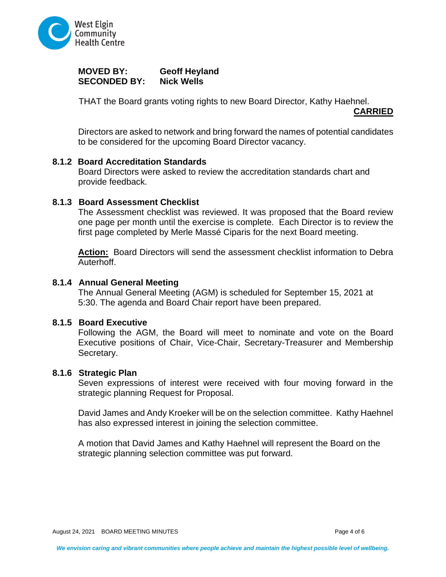

## **MOVED BY: Geoff Heyland SECONDED BY:**

THAT the Board grants voting rights to new Board Director, Kathy Haehnel.

**CARRIED**

Directors are asked to network and bring forward the names of potential candidates to be considered for the upcoming Board Director vacancy.

### **8.1.2 Board Accreditation Standards**

Board Directors were asked to review the accreditation standards chart and provide feedback.

## **8.1.3 Board Assessment Checklist**

The Assessment checklist was reviewed. It was proposed that the Board review one page per month until the exercise is complete. Each Director is to review the first page completed by Merle Massé Ciparis for the next Board meeting.

**Action:** Board Directors will send the assessment checklist information to Debra Auterhoff.

### **8.1.4 Annual General Meeting**

The Annual General Meeting (AGM) is scheduled for September 15, 2021 at 5:30. The agenda and Board Chair report have been prepared.

### **8.1.5 Board Executive**

Following the AGM, the Board will meet to nominate and vote on the Board Executive positions of Chair, Vice-Chair, Secretary-Treasurer and Membership Secretary.

### **8.1.6 Strategic Plan**

Seven expressions of interest were received with four moving forward in the strategic planning Request for Proposal.

David James and Andy Kroeker will be on the selection committee. Kathy Haehnel has also expressed interest in joining the selection committee.

A motion that David James and Kathy Haehnel will represent the Board on the strategic planning selection committee was put forward.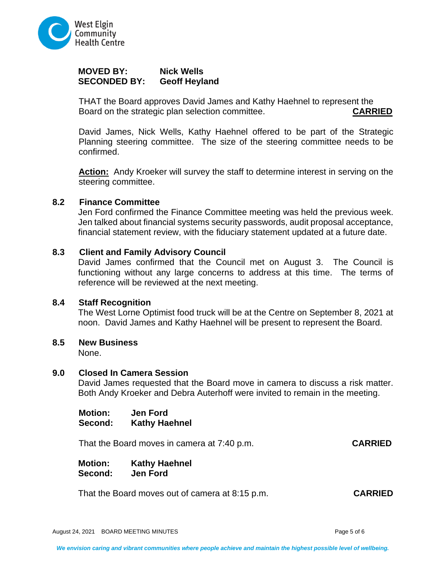

## **MOVED BY: Nick Wells SECONDED BY:**

THAT the Board approves David James and Kathy Haehnel to represent the Board on the strategic plan selection committee. **CARRIED**

David James, Nick Wells, Kathy Haehnel offered to be part of the Strategic Planning steering committee. The size of the steering committee needs to be confirmed.

**Action:** Andy Kroeker will survey the staff to determine interest in serving on the steering committee.

### **8.2 Finance Committee**

Jen Ford confirmed the Finance Committee meeting was held the previous week. Jen talked about financial systems security passwords, audit proposal acceptance, financial statement review, with the fiduciary statement updated at a future date.

### **8.3 Client and Family Advisory Council**

David James confirmed that the Council met on August 3. The Council is functioning without any large concerns to address at this time. The terms of reference will be reviewed at the next meeting.

### **8.4 Staff Recognition**

The West Lorne Optimist food truck will be at the Centre on September 8, 2021 at noon. David James and Kathy Haehnel will be present to represent the Board.

### **8.5 New Business**

None.

### **9.0 Closed In Camera Session**

David James requested that the Board move in camera to discuss a risk matter. Both Andy Kroeker and Debra Auterhoff were invited to remain in the meeting.

**Motion: Jen Ford Second: Kathy Haehnel**

That the Board moves in camera at 7:40 p.m. **CARRIED**

**Motion: Kathy Haehnel Second: Jen Ford**

That the Board moves out of camera at 8:15 p.m. **CARRIED**